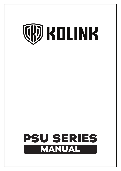# **CHD KOLINK**

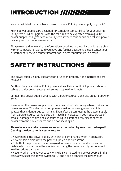# **INTRODUCTION**

We are delighted that you have chosen to use a Kolink power supply in your PC.

Kolink power supplies are designed for complete compatibility for your desktop PC system build or upgrade. With the features to be expected from a quality power supply, it's a great choice for systems where continuous and reliable power delivery and low noise are essential.

Please read and follow all the information contained in these instructions carefully prior to installation. Should you have any further questions, please contact our customer service. See contact information in item Manufacturer's details.

### **SAFETY INSTRUCTIONS**

The power supply is only guaranteed to function properly if the instructions are followed.

**Caution:** Only use original Kolink power cables. Using not Kolink power cables or cables of older power supply unit series may lead to defects!

Connect the power supply directly with a power source. Don't use an outlet power strip.

Never open the power supply case. There is a risk of fatal injury when working on power sources. The electronic components inside the case generate a high voltage that is dangerous to humans. Even after disconnecting the power supply from a power source, some parts still have high voltages. If you notice traces of smoke, damaged cables and exposure to liquids, immediately disconnect the power from the power source and do not use it again.

#### **Please have any and all necessary repairs conducted by an authorized expert! Opening the device voids your warranty.**

- Never handle the power supply with wet or damp hands when in operation.
- Never insert objects into the power supply's apertures/fans.

• Note that the power supply is designed for use indoors in conditions without high levels of moisture in the ambient air. Using the power supply outdoors will lead to serious damage.

• Never work on the power supply while it is connected to a power source. In this case, always set the power switch to "0" and / or disconnect the power plug.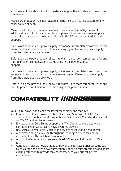• In the event of a short circuit in the device, unplug the AC cable and do not use the device.

Make sure that your PC is not located directly next to a heating system or any other source of heat.

Make sure that your computer case is sufficiently ventilated by means of additional fans; with today's complex and powerful systems a power supply is incapable of dissipating the heat produced in the PC case without additional support.

If you want to clean your power supply, disconnect it completely from the power source and never use a damp cloth or cleaning agent. Clean the power supply from the outside using a dry cloth.

Before using the power supply, allow it to warm up to room temperature for one hour to prevent condensation accumulating in the power supply. support.

If you want to clean your power supply, disconnect it completely from the power source and never use a damp cloth or cleaning agent. Clean the power supply from the outside using a dry cloth.

Before using the power supply, allow it to warm up to room temperature for one hour to prevent condensation accumulating in the power supply.

## **COMPATIBILITY**

Your Kolink power supply has the latest technology and features:

- Continuum, Classic Power and Modular Power Series are ATX12V2.4 standard and are backward compatible with ATX12V2.31 and earlier, as well as ATX 2.2 and earlier systems.
- Enclave and all Core Series support the ATX12V2.31 and are backwards compatible with all earlier ATX12V systems as well.
- 0.99 Active Power Factor Correction provides reliable and clean power.
- A dedicated single +12V rail throughout the ranges offers maximum compatibility with the latest components.
- All of Kolink's power supplies are at least 80% efficient at loads of 10% and greater.
- Continuum, Classic Power, Modular Power, and Enclave Series all come with Over-voltage and over-power protection, under-voltage protection, and short circuit protection to provide maximum safety to your critical system components.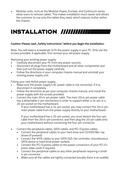• Modular units, such as the Modular Power, Enclave, and Continuum series allow users to remove cables. This makes installation much easier and allows the customer to use only the cables they need, which reduces clutter within the chassis.

## **INSTALLATION**

#### Caution: Please read "Safety instructions" before you begin the installation.

Note: You will need a screwdriver to fit the power supply in your PC. Only use the screws provided. If applicable, first remove your old power supply.

Removing your existing power supply:

- Carefully disconnect your PC from any power sources.
- Disconnect all plugs from the motherboard and all other components and then pull out the power supply carefully.
- Follow the directions in your computer chassis manual and uninstall your existing power supply unit.

Fitting your new Kolink power supply:

- Make sure the power supply's AC power cable is not connected. If it is, disconnect it completely.
- Follow the directions as per your computer chassis manual, and install the power supply with the screws provided.
- Connect the main 20+4-pin power cable. The main 20+4-pin power cable has a detachable 4-pin mechanism in order to support either a 24-pin or a 20-pin socket on the motherboard.

 If your motherboard has a 24-pin socket, you may connect the 20+4-pin main power cable from the power supply directly to your motherboard.

 If your motherboard has a 20-pin socket, you must detach the four-pin cable from the 20+4-pin connector, and then plug the 20-pin cable onto your motherboard without connecting the four-pin connector.

- Connect the peripheral cables, SATA cables, and PCI-Express cables.
	- Connect the peripheral cables to your hard drive and CD/DVD/Blu-ray drives (if present)
	- Connect the SATA cables to your SATA SSD, fan controller, miscellaneous SATA device or hard drive power sockets.
	- Connect the PCI-Express cables to the power connectors of your PCI-Ex press video cards if required.
	- Connect the peripheral cables to any other peripherals requiring a small 4-pin connector.
	- Make sure all the cables are tightly connected (usually there is an audible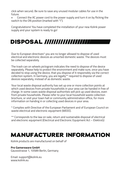click when secure). Be sure to save any unused modular cables for use in the future.

• Connect the AC power cord to the power supply and turn it on by flicking the switch to the ON position (marked with "I").

Congratulations! You have completed the installation of your new Kolink power supply and your system is ready to go!

## **DISPOSAL**

Due to European directives\* you are no longer allowed to dispose of used electrical and electronic devices as unsorted domestic waste. The devices must be collected separately.

The trash can on wheels pictogram indicates the need to dispose of the device separately. Please help to protect the environment and make sure, once you have decided to stop using the device, that you dispose of it responsibly via the correct collection system. In Germany, you are legally\*\* required to dispose of used devices separately, instead of as domestic waste.

Your local waste disposal authority has set up one or more collection points at which used devices from private households in your area can be handed in free of charge. In some cases waste disposal authorities will pick up used devices, even from private households. Please refer to your local household waste collection brochure, or visit your town hall or community administration office, for more information on handing in or collecting used devices in your area.

\* Complies with Directive of the European Parliament and of European Council on waste electrical and electronic equipment (WEEE).

\*\* Corresponds to the law on sale, return and sustainable disposal of electrical and electronic equipment (Electrical and Electronic Equipment Act – ElektroG)

## **MANUFACTURER INFORMATION**

Kolink products are manufactured on behalf of

#### **Pro Gamersware GmbH**

Gaussstrasse 1, 10589 Berlin, Germany

Email: support@kolink.eu www.kolink.eu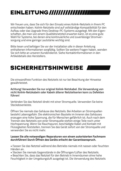## **EINLEITUNG**

Wir freuen uns, dass Sie sich für den Einsatz eines Kolink-Netzteils in Ihrem PC entschieden haben. Kolink-Netzteile sind auf vollständige Kompatibilität für den Aufbau oder das Upgrade Ihres Desktop-PC-Systems ausgelegt. Mit den Eigenschaften, die man von einem Qualitätsnetzteil erwarten kann, ist es eine gute Wahl für Systeme, bei denen eine kontinuierliche und zuverlässige Stromversorgung und eine geringe Lautstärke wichtig sind.

Bitte lesen und befolgen Sie vor der Installation alle in dieser Anleitung enthaltenen Informationen sorgfältig. Sollten Sie weitere Fragen haben, wenden Sie sich bitte an unseren Kundendienst. Siehe Kontaktinformationen in den Artikeldetails des Herstellers.

## **SICHERHEITSHINWEISE**

Die einwandfreie Funktion des Netzteils ist nur bei Beachtung der Hinweise gewährleistet.

#### **Achtung! Verwenden Sie nur original Kolink-Netzkabel. Die Verwendung von nicht Kolink-Netzkabeln oder Kabeln älterer Netzteilserien kann zu Defekten führen!**

Verbinden Sie das Netzteil direkt mit einer Stromquelle. Verwenden Sie keine Steckdosenleiste.

Öffnen Sie niemals das Gehäuse des Netzteils. Bei Arbeiten an Stromquellen besteht Lebensgefahr. Die elektronischen Bauteile im Inneren des Gehäuses erzeugen eine hohe Spannung, die für Menschen gefährlich ist. Auch nach dem Trennen des Netzteils von einer Stromquelle stehen einige Teile noch unter Hochspannung. Wenn Sie Rauchspuren, beschädigte Kabel und Kontakt mit Flüssigkeiten feststellen, trennen Sie das Gerät sofort von der Stromquelle und verwenden Sie es nicht mehr.

#### **Lassen Sie alle notwendigen Reparaturen von einem autorisierten Fachmann durchführen! Durch Öffnen des Geräts erlischt der Garantieanspruch.**

• Fassen Sie das Netzteil während des Betriebs niemals mit nassen oder feuchten Händen an.

- Stecken Sie niemals Gegenstände in die Öffnungen/Lüfter des Netzteils.
- Beachten Sie, dass das Netzteil für den Betrieb in Innenräumen ohne hohe Feuchtigkeit in der Umgebungsluft ausgelegt ist. Die Verwendung des Netzteils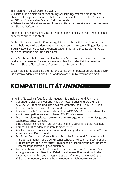im Freien führt zu schweren Schäden.

• Arbeiten Sie niemals an der Spannungsversorgung, während diese an eine Stromquelle angeschlossen ist. Stellen Sie in diesem Fall immer den Netzschalter auf "0" und / oder ziehen Sie den Netzstecker ab.

• Ziehen Sie im Falle eines Kurzschlusses im Gerät das Netzkabel ab und verwenden Sie das Gerät nicht.

Stellen Sie sicher, dass Ihr PC nicht direkt neben einer Heizungsanlage oder einer anderen Wärmequelle steht.

Achten Sie darauf, dass Ihr Computergehäuse durch zusätzliche Lüfter ausreichend belüftet wird; bei den heutigen komplexen und leistungsfähigen Systemen ist ein Netzteil ohne zusätzliche Unterstützung nicht in der Lage, die im PC-Gehäuse entstehende Wärme abzuführen.

Wenn Sie Ihr Netzteil reinigen wollen, trennen Sie es vollständig von der Stromquelle und verwenden Sie niemals ein feuchtes Tuch oder Reinigungsmittel. Reinigen Sie das Netzteil von außen mit einem trockenen Tuch.

Lassen Sie das Netzteil eine Stunde lang auf Raumtemperatur aufwärmen, bevor Sie es verwenden, damit sich kein Kondenswasser im Netzteil ansammelt.

# **KOMPATIBILITÄT**

Ihr Kolink-Netzteil verfügt über die neuesten Technologien und Funktionen:

- Continuum, Classic Power und Modular Power Series entsprechen dem ATX12V2.4-Standard und sind abwärtskompatibel mit ATX12V2.31 und früheren Systemen sowie ATX 2.2 und früheren Systemen.
- Enclave und alle Core-Serien unterstützen ATX12V2.31 und sind ebenfalls abwärtskompatibel zu allen früheren ATX12V-Systemen.
- Die aktive Leistungsfaktorkorrektur von 0,99 sorgt für eine zuverlässige und saubere Stromversorgung.
- Eine dedizierte einzelne +12V-Schiene in allen Baureihen bietet maximale
- Kompatibilität mit den neuesten Komponenten.
- Alle Netzteile von Kolink haben einen Wirkungsgrad von mindestens 80% bei einer Last von 10% und mehr.
- Die Serien Continuum, Classic Power, Modular Power und Enclave sind alle mit Überspannungs- und Überleistungsschutz, Unterspannungsschutz und Kurzschlussschutz ausgestattet, um maximale Sicherheit für Ihre kritischen Systemkomponenten zu gewährleisten.
- Modulare Geräte, wie die Modular Power-, Enclave- und Continuum-Serie, ermöglichen es dem Benutzer, Kabel zu entfernen. Dies vereinfacht die Installation erheblich und ermöglicht es dem Kunden, nur die benötigten Kabel zu verwenden, was das Durcheinander im Gehäuse reduziert.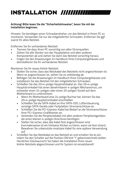# **INSTALLATION**

#### **Achtung! Bitte lesen Sie die "Sicherheitshinweise", bevor Sie mit der Installation beginnen.**

Hinweis: Sie benötigen einen Schraubendreher, um das Netzteil in Ihrem PC zu montieren. Verwenden Sie nur die mitgelieferten Schrauben. Entfernen Sie ggf. zuerst Ihr altes Netzteil.

Entfernen Sie Ihr vorhandenes Netzteil:

- Trennen Sie dazu Ihren PC vorsichtig von allen Stromquellen.
- Ziehen Sie alle Stecker von der Hauptplatine und allen anderen Komponenten ab und ziehen Sie dann das Netzteil vorsichtig heraus.
- Folgen Sie den Anweisungen im Handbuch Ihres Computergehäuses und deinstallieren Sie Ihr vorhandenes Netzteil.

Montieren Sie Ihr neues Kolink-Netzteil:

- Stellen Sie sicher, dass das Netzkabel des Netzteils nicht angeschlossen ist. Wenn es angeschlossen ist, ziehen Sie es vollständig ab.
- Befolgen Sie die Anweisungen im Handbuch Ihres Computergehäuses und installieren Sie das Netzteil mit den mitgelieferten Schrauben.
- Schließen Sie das 20+4-polige Hauptnetzkabel an. Das 20+4-polige Hauptstromkabel hat einen abnehmbaren 4-poligen Mechanismus, um entweder einen 24-poligen oder einen 20-poligen Sockel auf dem Motherboard zu unterstützen.
	- Wenn Ihr Motherboard eine 24-polige Buchse hat, können Sie das 20+4-polige Hauptstromkabel anschließen
	- Schließen Sie die SATA-Kabel an Ihre SATA-SSD, Lüftersteuerung, sonstige SATA-Geräte oder Festplatten-Stromanschlüsse an.
	- Schließen Sie die PCI-Express-Kabel bei Bedarf an die Stromanschlüsse Ihrer PCI-Express-Grafikkarten an.
	- Verbinden Sie die Peripheriekabel mit allen anderen Peripheriegeräten, die einen kleinen 4-poligen Anschluss benötigen.
	- Stellen Sie sicher, dass alle Kabel fest angeschlossen sind (normalerweise ist ein hörbares Klicken zu hören, wenn sie fest sitzen). Bewahren Sie unbenutzte modulare Kabel für eine spätere Verwendung auf.
- Schließen Sie das Netzkabel an das Netzteil an und schalten Sie es ein, indem Sie den Schalter auf die Position ON (mit "I" gekennzeichnet) stellen. Herzlichen Glückwunsch! Sie haben die Installation Ihres neuen Kolink-Netzteils abgeschlossen und Ihr System ist einsatzbereit!